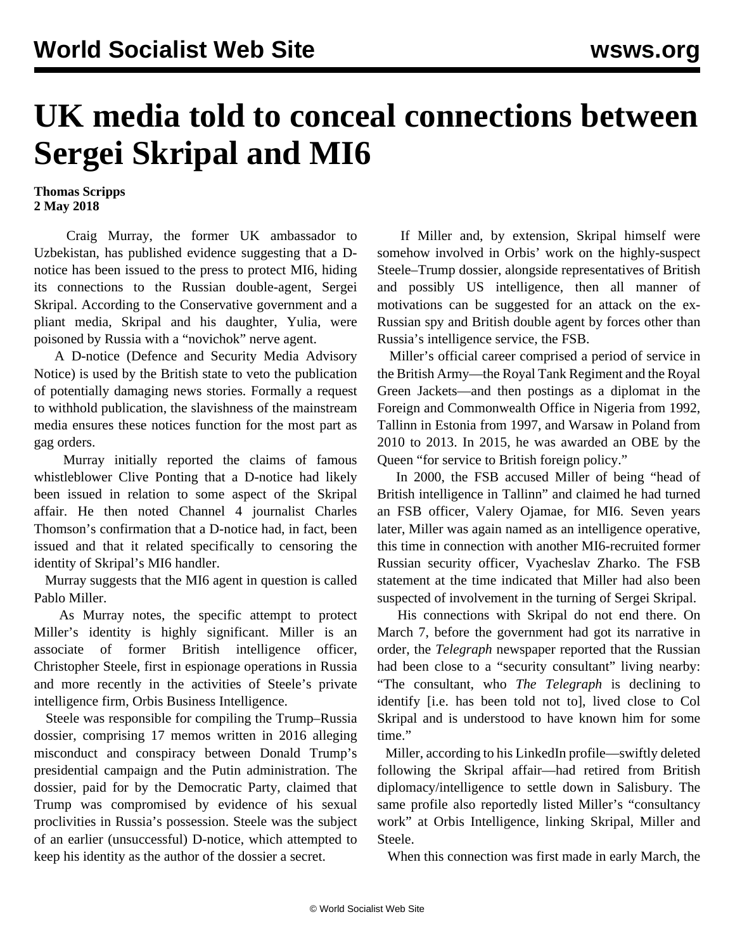## **UK media told to conceal connections between Sergei Skripal and MI6**

## **Thomas Scripps 2 May 2018**

 Craig Murray, the former UK ambassador to Uzbekistan, has published evidence suggesting that a Dnotice has been issued to the press to protect MI6, hiding its connections to the Russian double-agent, Sergei Skripal. According to the Conservative government and a pliant media, Skripal and his daughter, Yulia, were poisoned by Russia with a "novichok" nerve agent.

 A D-notice (Defence and Security Media Advisory Notice) is used by the British state to veto the publication of potentially damaging news stories. Formally a request to withhold publication, the slavishness of the mainstream media ensures these notices function for the most part as gag orders.

 Murray initially reported the claims of famous whistleblower Clive Ponting that a D-notice had likely been issued in relation to some aspect of the Skripal affair. He then noted Channel 4 journalist Charles Thomson's confirmation that a D-notice had, in fact, been issued and that it related specifically to censoring the identity of Skripal's MI6 handler.

 Murray suggests that the MI6 agent in question is called Pablo Miller.

 As Murray notes, the specific attempt to protect Miller's identity is highly significant. Miller is an associate of former British intelligence officer, Christopher Steele, first in espionage operations in Russia and more recently in the activities of Steele's private intelligence firm, Orbis Business Intelligence.

 Steele was responsible for compiling the Trump–Russia dossier, comprising 17 memos written in 2016 alleging misconduct and conspiracy between Donald Trump's presidential campaign and the Putin administration. The dossier, paid for by the Democratic Party, claimed that Trump was compromised by evidence of his sexual proclivities in Russia's possession. Steele was the subject of an earlier (unsuccessful) D-notice, which attempted to keep his identity as the author of the dossier a secret.

 If Miller and, by extension, Skripal himself were somehow involved in Orbis' work on the highly-suspect Steele–Trump dossier, alongside representatives of British and possibly US intelligence, then all manner of motivations can be suggested for an attack on the ex-Russian spy and British double agent by forces other than Russia's intelligence service, the FSB.

 Miller's official career comprised a period of service in the British Army—the Royal Tank Regiment and the Royal Green Jackets—and then postings as a diplomat in the Foreign and Commonwealth Office in Nigeria from 1992, Tallinn in Estonia from 1997, and Warsaw in Poland from 2010 to 2013. In 2015, he was awarded an OBE by the Queen "for service to British foreign policy."

 In 2000, the FSB accused Miller of being "head of British intelligence in Tallinn" and claimed he had turned an FSB officer, Valery Ojamae, for MI6. Seven years later, Miller was again named as an intelligence operative, this time in connection with another MI6-recruited former Russian security officer, Vyacheslav Zharko. The FSB statement at the time indicated that Miller had also been suspected of involvement in the turning of Sergei Skripal.

 His connections with Skripal do not end there. On March 7, before the government had got its narrative in order, the *Telegraph* newspaper reported that the Russian had been close to a "security consultant" living nearby: "The consultant, who *The Telegraph* is declining to identify [i.e. has been told not to], lived close to Col Skripal and is understood to have known him for some time."

 Miller, according to his LinkedIn profile—swiftly deleted following the Skripal affair—had retired from British diplomacy/intelligence to settle down in Salisbury. The same profile also reportedly listed Miller's "consultancy work" at Orbis Intelligence, linking Skripal, Miller and Steele.

When this connection was first made in early March, the